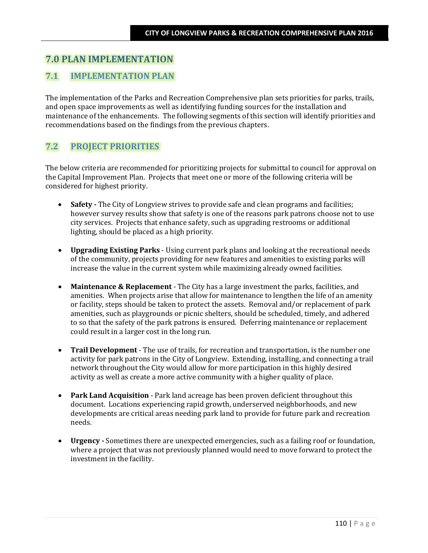# **7.0 PLAN IMPLEMENTATION**

# **7.1 IMPLEMENTATION PLAN**

The implementation of the Parks and Recreation Comprehensive plan sets priorities for parks, trails, and open space improvements as well as identifying funding sources for the installation and maintenance of the enhancements. The following segments of this section will identify priorities and recommendations based on the findings from the previous chapters.

# **7.2 PROJECT PRIORITIES**

The below criteria are recommended for prioritizing projects for submittal to council for approval on the Capital Improvement Plan. Projects that meet one or more of the following criteria will be considered for highest priority.

- **Safety** The City of Longview strives to provide safe and clean programs and facilities; however survey results show that safety is one of the reasons park patrons choose not to use city services. Projects that enhance safety, such as upgrading restrooms or additional lighting, should be placed as a high priority.
- **Upgrading Existing Parks** Using current park plans and looking at the recreational needs of the community, projects providing for new features and amenities to existing parks will increase the value in the current system while maximizing already owned facilities.
- **Maintenance & Replacement** The City has a large investment the parks, facilities, and amenities. When projects arise that allow for maintenance to lengthen the life of an amenity or facility, steps should be taken to protect the assets. Removal and/or replacement of park amenities, such as playgrounds or picnic shelters, should be scheduled, timely, and adhered to so that the safety of the park patrons is ensured. Deferring maintenance or replacement could result in a larger cost in the long run.
- **Trail Development**  The use of trails, for recreation and transportation, is the number one activity for park patrons in the City of Longview. Extending, installing, and connecting a trail network throughout the City would allow for more participation in this highly desired activity as well as create a more active community with a higher quality of place.
- **Park Land Acquisition**  Park land acreage has been proven deficient throughout this document. Locations experiencing rapid growth, underserved neighborhoods, and new developments are critical areas needing park land to provide for future park and recreation needs.
- **Urgency -** Sometimes there are unexpected emergencies, such as a failing roof or foundation, where a project that was not previously planned would need to move forward to protect the investment in the facility.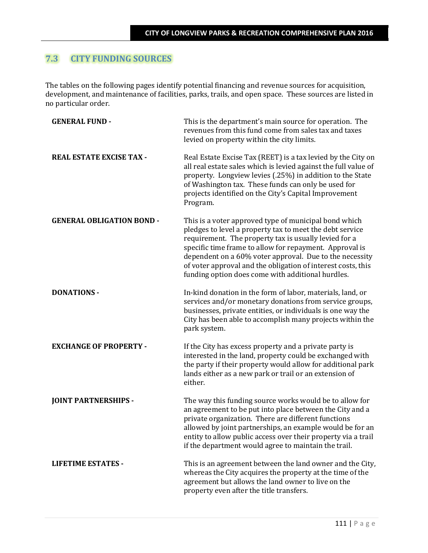# **7.3 CITY FUNDING SOURCES**

The tables on the following pages identify potential financing and revenue sources for acquisition, development, and maintenance of facilities, parks, trails, and open space. These sources are listed in no particular order.

| <b>GENERAL FUND -</b>            | This is the department's main source for operation. The<br>revenues from this fund come from sales tax and taxes<br>levied on property within the city limits.                                                                                                                                                                                                                                                        |
|----------------------------------|-----------------------------------------------------------------------------------------------------------------------------------------------------------------------------------------------------------------------------------------------------------------------------------------------------------------------------------------------------------------------------------------------------------------------|
| <b>REAL ESTATE EXCISE TAX -</b>  | Real Estate Excise Tax (REET) is a tax levied by the City on<br>all real estate sales which is levied against the full value of<br>property. Longview levies (.25%) in addition to the State<br>of Washington tax. These funds can only be used for<br>projects identified on the City's Capital Improvement<br>Program.                                                                                              |
| <b>GENERAL OBLIGATION BOND -</b> | This is a voter approved type of municipal bond which<br>pledges to level a property tax to meet the debt service<br>requirement. The property tax is usually levied for a<br>specific time frame to allow for repayment. Approval is<br>dependent on a 60% voter approval. Due to the necessity<br>of voter approval and the obligation of interest costs, this<br>funding option does come with additional hurdles. |
| <b>DONATIONS -</b>               | In-kind donation in the form of labor, materials, land, or<br>services and/or monetary donations from service groups,<br>businesses, private entities, or individuals is one way the<br>City has been able to accomplish many projects within the<br>park system.                                                                                                                                                     |
| <b>EXCHANGE OF PROPERTY -</b>    | If the City has excess property and a private party is<br>interested in the land, property could be exchanged with<br>the party if their property would allow for additional park<br>lands either as a new park or trail or an extension of<br>either.                                                                                                                                                                |
| <b>JOINT PARTNERSHIPS -</b>      | The way this funding source works would be to allow for<br>an agreement to be put into place between the City and a<br>private organization. There are different functions<br>allowed by joint partnerships, an example would be for an<br>entity to allow public access over their property via a trail<br>if the department would agree to maintain the trail.                                                      |
| <b>LIFETIME ESTATES -</b>        | This is an agreement between the land owner and the City,<br>whereas the City acquires the property at the time of the<br>agreement but allows the land owner to live on the<br>property even after the title transfers.                                                                                                                                                                                              |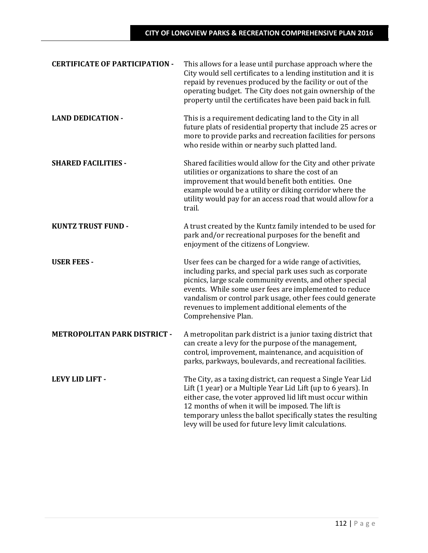| <b>CERTIFICATE OF PARTICIPATION -</b> | This allows for a lease until purchase approach where the<br>City would sell certificates to a lending institution and it is<br>repaid by revenues produced by the facility or out of the<br>operating budget. The City does not gain ownership of the<br>property until the certificates have been paid back in full.                                                              |
|---------------------------------------|-------------------------------------------------------------------------------------------------------------------------------------------------------------------------------------------------------------------------------------------------------------------------------------------------------------------------------------------------------------------------------------|
| <b>LAND DEDICATION -</b>              | This is a requirement dedicating land to the City in all<br>future plats of residential property that include 25 acres or<br>more to provide parks and recreation facilities for persons<br>who reside within or nearby such platted land.                                                                                                                                          |
| <b>SHARED FACILITIES -</b>            | Shared facilities would allow for the City and other private<br>utilities or organizations to share the cost of an<br>improvement that would benefit both entities. One<br>example would be a utility or diking corridor where the<br>utility would pay for an access road that would allow for a<br>trail.                                                                         |
| <b>KUNTZ TRUST FUND -</b>             | A trust created by the Kuntz family intended to be used for<br>park and/or recreational purposes for the benefit and<br>enjoyment of the citizens of Longview.                                                                                                                                                                                                                      |
| <b>USER FEES -</b>                    | User fees can be charged for a wide range of activities,<br>including parks, and special park uses such as corporate<br>picnics, large scale community events, and other special<br>events. While some user fees are implemented to reduce<br>vandalism or control park usage, other fees could generate<br>revenues to implement additional elements of the<br>Comprehensive Plan. |
| <b>METROPOLITAN PARK DISTRICT -</b>   | A metropolitan park district is a junior taxing district that<br>can create a levy for the purpose of the management,<br>control, improvement, maintenance, and acquisition of<br>parks, parkways, boulevards, and recreational facilities.                                                                                                                                         |
| <b>LEVY LID LIFT -</b>                | The City, as a taxing district, can request a Single Year Lid<br>Lift (1 year) or a Multiple Year Lid Lift (up to 6 years). In<br>either case, the voter approved lid lift must occur within<br>12 months of when it will be imposed. The lift is<br>temporary unless the ballot specifically states the resulting<br>levy will be used for future levy limit calculations.         |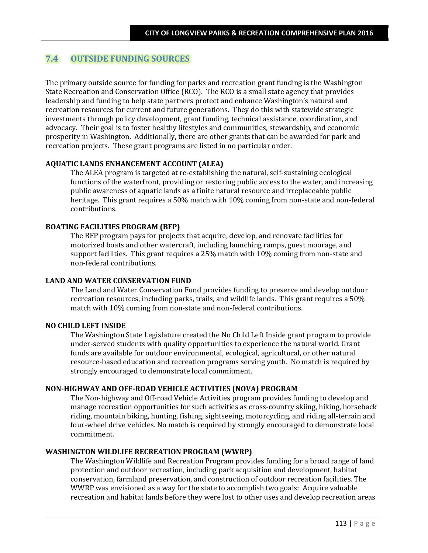# **7.4 OUTSIDE FUNDING SOURCES**

The primary outside source for funding for parks and recreation grant funding is the Washington State Recreation and Conservation Office (RCO). The RCO is a small state agency that provides leadership and funding to help state partners protect and enhance Washington's natural and recreation resources for current and future generations. They do this with statewide strategic investments through policy development, grant funding, technical assistance, coordination, and advocacy. Their goal is to foster healthy lifestyles and communities, stewardship, and economic prosperity in Washington. Additionally, there are other grants that can be awarded for park and recreation projects. These grant programs are listed in no particular order.

## **AQUATIC LANDS ENHANCEMENT ACCOUNT (ALEA)**

The ALEA program is targeted at re-establishing the natural, self-sustaining ecological functions of the waterfront, providing or restoring public access to the water, and increasing public awareness of aquatic lands as a finite natural resource and irreplaceable public heritage. This grant requires a 50% match with 10% coming from non-state and non-federal contributions.

## **BOATING FACILITIES PROGRAM (BFP)**

The BFP program pays for projects that acquire, develop, and renovate facilities for motorized boats and other watercraft, including launching ramps, guest moorage, and support facilities. This grant requires a 25% match with 10% coming from non-state and non-federal contributions.

#### **LAND AND WATER CONSERVATION FUND**

The Land and Water Conservation Fund provides funding to preserve and develop outdoor recreation resources, including parks, trails, and wildlife lands. This grant requires a 50% match with 10% coming from non-state and non-federal contributions.

#### **NO CHILD LEFT INSIDE**

The Washington State Legislature created the No Child Left Inside grant program to provide under-served students with quality opportunities to experience the natural world. Grant funds are available for outdoor environmental, ecological, agricultural, or other natural resource-based education and recreation programs serving youth. No match is required by strongly encouraged to demonstrate local commitment.

## **NON-HIGHWAY AND OFF-ROAD VEHICLE ACTIVITIES (NOVA) PROGRAM**

The Non-highway and Off-road Vehicle Activities program provides funding to develop and manage recreation opportunities for such activities as cross-country skiing, hiking, horseback riding, mountain biking, hunting, fishing, sightseeing, motorcycling, and riding all-terrain and four-wheel drive vehicles. No match is required by strongly encouraged to demonstrate local commitment.

#### **WASHINGTON WILDLIFE RECREATION PROGRAM (WWRP)**

The Washington Wildlife and Recreation Program provides funding for a broad range of land protection and outdoor recreation, including park acquisition and development, habitat conservation, farmland preservation, and construction of outdoor recreation facilities. The WWRP was envisioned as a way for the state to accomplish two goals: Acquire valuable recreation and habitat lands before they were lost to other uses and develop recreation areas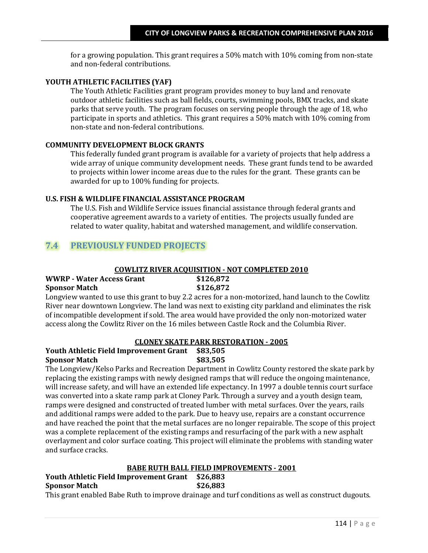for a growing population. This grant requires a 50% match with 10% coming from non-state and non-federal contributions.

## **YOUTH ATHLETIC FACILITIES (YAF)**

The Youth Athletic Facilities grant program provides money to buy land and renovate outdoor athletic facilities such as ball fields, courts, swimming pools, BMX tracks, and skate parks that serve youth. The program focuses on serving people through the age of 18, who participate in sports and athletics. This grant requires a 50% match with 10% coming from non-state and non-federal contributions.

## **COMMUNITY DEVELOPMENT BLOCK GRANTS**

This federally funded grant program is available for a variety of projects that help address a wide array of unique community development needs. These grant funds tend to be awarded to projects within lower income areas due to the rules for the grant. These grants can be awarded for up to 100% funding for projects.

## **U.S. FISH & WILDLIFE FINANCIAL ASSISTANCE PROGRAM**

The U.S. Fish and Wildlife Service issues financial assistance through federal grants and cooperative agreement awards to a variety of entities. The projects usually funded are related to water quality, habitat and watershed management, and wildlife conservation.

# **7.4 PREVIOUSLY FUNDED PROJECTS**

#### **COWLITZ RIVER ACQUISITION - NOT COMPLETED 2010**

| <b>WWRP - Water Access Grant</b> | \$126,872 |
|----------------------------------|-----------|
| <b>Sponsor Match</b>             | \$126,872 |

Longview wanted to use this grant to buy 2.2 acres for a non-motorized, hand launch to the Cowlitz River near downtown Longview. The land was next to existing city parkland and eliminates the risk of incompatible development if sold. The area would have provided the only non-motorized water access along the Cowlitz River on the 16 miles between Castle Rock and the Columbia River.

## **CLONEY SKATE PARK RESTORATION - 2005**

## **Youth Athletic Field Improvement Grant \$83,505 Sponsor Match \$83,505**

The Longview/Kelso Parks and Recreation Department in Cowlitz County restored the skate park by replacing the existing ramps with newly designed ramps that will reduce the ongoing maintenance, will increase safety, and will have an extended life expectancy. In 1997 a double tennis court surface was converted into a skate ramp park at Cloney Park. Through a survey and a youth design team, ramps were designed and constructed of treated lumber with metal surfaces. Over the years, rails and additional ramps were added to the park. Due to heavy use, repairs are a constant occurrence and have reached the point that the metal surfaces are no longer repairable. The scope of this project was a complete replacement of the existing ramps and resurfacing of the park with a new asphalt overlayment and color surface coating. This project will eliminate the problems with standing water and surface cracks.

#### **BABE RUTH BALL FIELD IMPROVEMENTS - 2001**

#### **Youth Athletic Field Improvement Grant \$26,883 Sponsor Match \$26,883**

This grant enabled Babe Ruth to improve drainage and turf conditions as well as construct dugouts.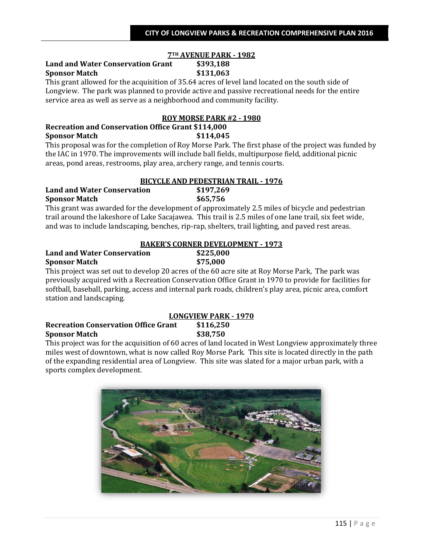# **7TH AVENUE PARK - 1982**

# **Land and Water Conservation Grant \$393,188 Sponsor Match \$131,063**

This grant allowed for the acquisition of 35.64 acres of level land located on the south side of Longview. The park was planned to provide active and passive recreational needs for the entire service area as well as serve as a neighborhood and community facility.

# **ROY MORSE PARK #2 - 1980**

# **Recreation and Conservation Office Grant \$114,000 Sponsor Match \$114,045**

This proposal was for the completion of Roy Morse Park. The first phase of the project was funded by the IAC in 1970. The improvements will include ball fields, multipurpose field, additional picnic areas, pond areas, restrooms, play area, archery range, and tennis courts.

### **BICYCLE AND PEDESTRIAN TRAIL - 1976**

#### **Land and Water Conservation \$197,269 Sponsor Match \$65,756**

This grant was awarded for the development of approximately 2.5 miles of bicycle and pedestrian trail around the lakeshore of Lake Sacajawea. This trail is 2.5 miles of one lane trail, six feet wide, and was to include landscaping, benches, rip-rap, shelters, trail lighting, and paved rest areas.

|                                    | <b>BAKER'S CORNER DEVELOPMENT - 1973</b> |
|------------------------------------|------------------------------------------|
| <b>Land and Water Conservation</b> | \$225,000                                |
| <b>Sponsor Match</b>               | \$75,000                                 |

This project was set out to develop 20 acres of the 60 acre site at Roy Morse Park, The park was previously acquired with a Recreation Conservation Office Grant in 1970 to provide for facilities for softball, baseball, parking, access and internal park roads, children's play area, picnic area, comfort station and landscaping.

## **LONGVIEW PARK - 1970 Recreation Conservation Office Grant \$116,250 Sponsor Match \$38,750**

This project was for the acquisition of 60 acres of land located in West Longview approximately three miles west of downtown, what is now called Roy Morse Park. This site is located directly in the path of the expanding residential area of Longview. This site was slated for a major urban park, with a sports complex development.